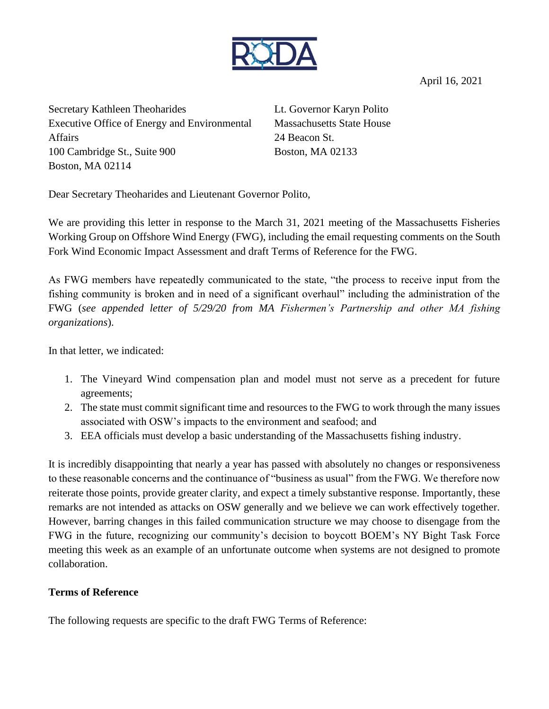

April 16, 2021

Secretary Kathleen Theoharides Executive Office of Energy and Environmental Affairs 100 Cambridge St., Suite 900 Boston, MA 02114

Lt. Governor Karyn Polito Massachusetts State House 24 Beacon St. Boston, MA 02133

Dear Secretary Theoharides and Lieutenant Governor Polito,

We are providing this letter in response to the March 31, 2021 meeting of the Massachusetts Fisheries Working Group on Offshore Wind Energy (FWG), including the email requesting comments on the South Fork Wind Economic Impact Assessment and draft Terms of Reference for the FWG.

As FWG members have repeatedly communicated to the state, "the process to receive input from the fishing community is broken and in need of a significant overhaul" including the administration of the FWG (*see appended letter of 5/29/20 from MA Fishermen's Partnership and other MA fishing organizations*).

In that letter, we indicated:

- 1. The Vineyard Wind compensation plan and model must not serve as a precedent for future agreements;
- 2. The state must commit significant time and resources to the FWG to work through the many issues associated with OSW's impacts to the environment and seafood; and
- 3. EEA officials must develop a basic understanding of the Massachusetts fishing industry.

It is incredibly disappointing that nearly a year has passed with absolutely no changes or responsiveness to these reasonable concerns and the continuance of "business as usual" from the FWG. We therefore now reiterate those points, provide greater clarity, and expect a timely substantive response. Importantly, these remarks are not intended as attacks on OSW generally and we believe we can work effectively together. However, barring changes in this failed communication structure we may choose to disengage from the FWG in the future, recognizing our community's decision to boycott BOEM's NY Bight Task Force meeting this week as an example of an unfortunate outcome when systems are not designed to promote collaboration.

# **Terms of Reference**

The following requests are specific to the draft FWG Terms of Reference: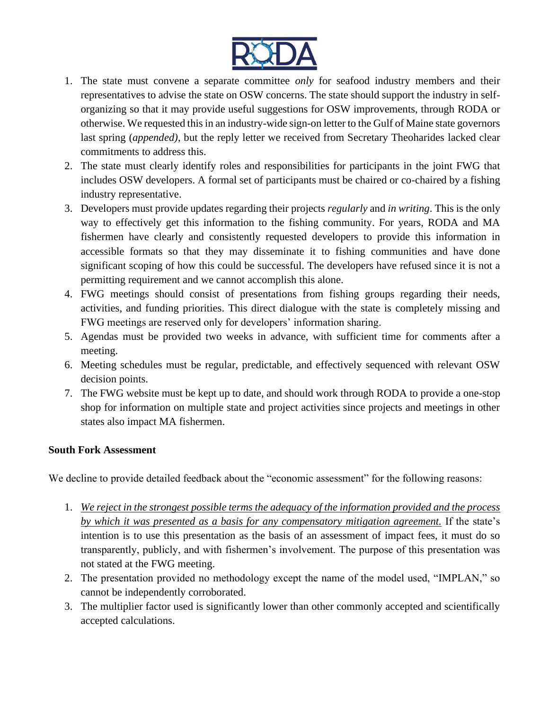

- 1. The state must convene a separate committee *only* for seafood industry members and their representatives to advise the state on OSW concerns. The state should support the industry in selforganizing so that it may provide useful suggestions for OSW improvements, through RODA or otherwise. We requested this in an industry-wide sign-on letter to the Gulf of Maine state governors last spring (*appended)*, but the reply letter we received from Secretary Theoharides lacked clear commitments to address this.
- 2. The state must clearly identify roles and responsibilities for participants in the joint FWG that includes OSW developers. A formal set of participants must be chaired or co-chaired by a fishing industry representative.
- 3. Developers must provide updates regarding their projects *regularly* and *in writing*. This is the only way to effectively get this information to the fishing community. For years, RODA and MA fishermen have clearly and consistently requested developers to provide this information in accessible formats so that they may disseminate it to fishing communities and have done significant scoping of how this could be successful. The developers have refused since it is not a permitting requirement and we cannot accomplish this alone.
- 4. FWG meetings should consist of presentations from fishing groups regarding their needs, activities, and funding priorities. This direct dialogue with the state is completely missing and FWG meetings are reserved only for developers' information sharing.
- 5. Agendas must be provided two weeks in advance, with sufficient time for comments after a meeting.
- 6. Meeting schedules must be regular, predictable, and effectively sequenced with relevant OSW decision points.
- 7. The FWG website must be kept up to date, and should work through RODA to provide a one-stop shop for information on multiple state and project activities since projects and meetings in other states also impact MA fishermen.

# **South Fork Assessment**

We decline to provide detailed feedback about the "economic assessment" for the following reasons:

- 1. *We reject in the strongest possible terms the adequacy of the information provided and the process by which it was presented as a basis for any compensatory mitigation agreement.* If the state's intention is to use this presentation as the basis of an assessment of impact fees, it must do so transparently, publicly, and with fishermen's involvement. The purpose of this presentation was not stated at the FWG meeting.
- 2. The presentation provided no methodology except the name of the model used, "IMPLAN," so cannot be independently corroborated.
- 3. The multiplier factor used is significantly lower than other commonly accepted and scientifically accepted calculations.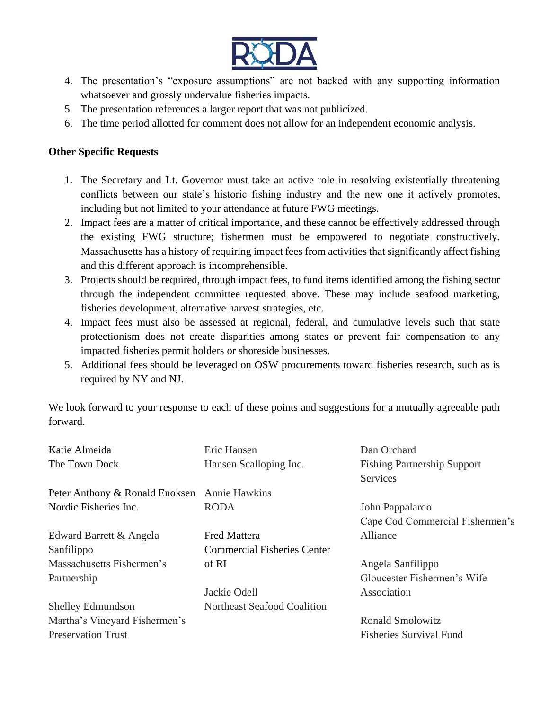

- 4. The presentation's "exposure assumptions" are not backed with any supporting information whatsoever and grossly undervalue fisheries impacts.
- 5. The presentation references a larger report that was not publicized.
- 6. The time period allotted for comment does not allow for an independent economic analysis.

# **Other Specific Requests**

- 1. The Secretary and Lt. Governor must take an active role in resolving existentially threatening conflicts between our state's historic fishing industry and the new one it actively promotes, including but not limited to your attendance at future FWG meetings.
- 2. Impact fees are a matter of critical importance, and these cannot be effectively addressed through the existing FWG structure; fishermen must be empowered to negotiate constructively. Massachusetts has a history of requiring impact fees from activities that significantly affect fishing and this different approach is incomprehensible.
- 3. Projects should be required, through impact fees, to fund items identified among the fishing sector through the independent committee requested above. These may include seafood marketing, fisheries development, alternative harvest strategies, etc.
- 4. Impact fees must also be assessed at regional, federal, and cumulative levels such that state protectionism does not create disparities among states or prevent fair compensation to any impacted fisheries permit holders or shoreside businesses.
- 5. Additional fees should be leveraged on OSW procurements toward fisheries research, such as is required by NY and NJ.

We look forward to your response to each of these points and suggestions for a mutually agreeable path forward.

| Eric Hansen                                            | Dan Orchard                        |
|--------------------------------------------------------|------------------------------------|
| Hansen Scalloping Inc.                                 | <b>Fishing Partnership Support</b> |
|                                                        | Services                           |
| Peter Anthony & Ronald Enoksen<br><b>Annie Hawkins</b> |                                    |
| <b>RODA</b>                                            | John Pappalardo                    |
|                                                        | Cape Cod Commercial Fishermen's    |
| <b>Fred Mattera</b>                                    | Alliance                           |
| <b>Commercial Fisheries Center</b>                     |                                    |
| of RI                                                  | Angela Sanfilippo                  |
|                                                        | Gloucester Fishermen's Wife        |
| Jackie Odell                                           | Association                        |
| Northeast Seafood Coalition                            |                                    |
|                                                        | <b>Ronald Smolowitz</b>            |
|                                                        | <b>Fisheries Survival Fund</b>     |
|                                                        |                                    |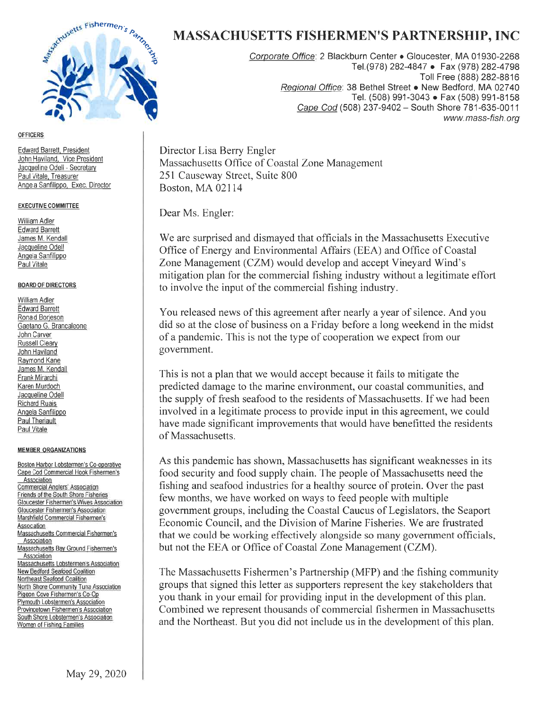

#### **OFFICERS**

Edward Barrett, President John Haviland, Vice President Jacqueline Odell - Secretary Paul Vitale, Treasurer Angela Sanfilippo, Exec. Director

#### **EXECUTIVE COMMITTEE**

William Adler **Edward Barrett** James M. Kendall Jacqueline Odell Angela Sanfilippo Paul Vitale

#### **BOARD OF DIRECTORS**

**William Adler Edward Barrett** Ronald Borjeson Gaetano G. Brancaleone John Carver Russell Cleary John Haviland Raymond Kane James M. Kendall Frank Mirarchi Karen Murdoch Jacqueline Odell **Richard Ruais** Angela Sanfilippo Paul Theriault **Paul Vitale** 

#### **MEMBER ORGANIZATIONS**

Boston Harbor Lobstermen's Co-operative Cape Cod Commercial Hook Fishermen's Association Commercial Anglers' Association Friends of the South Shore Fisheries Gloucester Fishermen's Wives Association Gloucester Fishermen's Association Marshfield Commercial Fishermen's Association Massachusetts Commercial Fishermen's Association Massachusetts Bay Ground Fishermen's Association Massachusetts Lobstermen's Association New Bedford Seafood Coalition Northeast Seafood Coalition North Shore Community Tuna Association Pigeon Cove Fishermen's Co-Op Plymouth Lobstermen's Association Provincetown Fishermen's Association South Shore Lobstermen's Association Women of Fishing Families

# **MASSACHUSETTS FISHERMEN'S PARTNERSHIP, INC**

Corporate Office: 2 Blackburn Center · Gloucester, MA 01930-2268 Tel. (978) 282-4847 · Fax (978) 282-4798 Toll Free (888) 282-8816 Regional Office: 38 Bethel Street • New Bedford, MA 02740 Tel. (508) 991-3043 · Fax (508) 991-8158 Cape Cod (508) 237-9402 - South Shore 781-635-0011 www.mass-fish.org

Director Lisa Berry Engler Massachusetts Office of Coastal Zone Management 251 Causeway Street, Suite 800 Boston, MA 02114

Dear Ms. Engler:

We are surprised and dismayed that officials in the Massachusetts Executive Office of Energy and Environmental Affairs (EEA) and Office of Coastal Zone Management (CZM) would develop and accept Vineyard Wind's mitigation plan for the commercial fishing industry without a legitimate effort to involve the input of the commercial fishing industry.

You released news of this agreement after nearly a year of silence. And you did so at the close of business on a Friday before a long weekend in the midst of a pandemic. This is not the type of cooperation we expect from our government.

This is not a plan that we would accept because it fails to mitigate the predicted damage to the marine environment, our coastal communities, and the supply of fresh seafood to the residents of Massachusetts. If we had been involved in a legitimate process to provide input in this agreement, we could have made significant improvements that would have benefitted the residents of Massachusetts.

As this pandemic has shown, Massachusetts has significant weaknesses in its food security and food supply chain. The people of Massachusetts need the fishing and seafood industries for a healthy source of protein. Over the past few months, we have worked on ways to feed people with multiple government groups, including the Coastal Caucus of Legislators, the Seaport Economic Council, and the Division of Marine Fisheries. We are frustrated that we could be working effectively alongside so many government officials, but not the EEA or Office of Coastal Zone Management (CZM).

The Massachusetts Fishermen's Partnership (MFP) and the fishing community groups that signed this letter as supporters represent the key stakeholders that you thank in your email for providing input in the development of this plan. Combined we represent thousands of commercial fishermen in Massachusetts and the Northeast. But you did not include us in the development of this plan.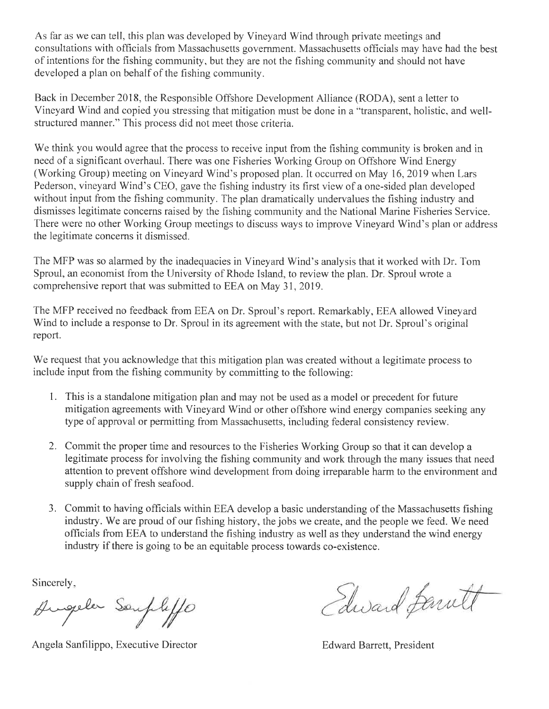As far as we can tell, this plan was developed by Vineyard Wind through private meetings and consultations with officials from Massachusetts government. Massachusetts officials may have had the best of intentions for the fishing community, but they are not the fishing community and should not have developed a plan on behalf of the fishing community.

Back in December 2018, the Responsible Offshore Development Alliance (RODA), sent a letter to Vineyard Wind and copied you stressing that mitigation must be done in a "transparent, holistic, and wellstructured manner." This process did not meet those criteria.

We think you would agree that the process to receive input from the fishing community is broken and in need of a significant overhaul. There was one Fisheries Working Group on Offshore Wind Energy (Working Group) meeting on Vineyard Wind's proposed plan. It occurred on May 16, 2019 when Lars Pederson, vineyard Wind's CEO, gave the fishing industry its first view of a one-sided plan developed without input from the fishing community. The plan dramatically undervalues the fishing industry and dismisses legitimate concerns raised by the fishing community and the National Marine Fisheries Service. There were no other Working Group meetings to discuss ways to improve Vineyard Wind's plan or address the legitimate concerns it dismissed.

The MFP was so alarmed by the inadequacies in Vineyard Wind's analysis that it worked with Dr. Tom Sproul, an economist from the University of Rhode Island, to review the plan. Dr. Sproul wrote a comprehensive report that was submitted to EEA on May 31, 2019.

The MFP received no feedback from EEA on Dr. Sproul's report. Remarkably, EEA allowed Vineyard Wind to include a response to Dr. Sproul in its agreement with the state, but not Dr. Sproul's original report.

We request that you acknowledge that this mitigation plan was created without a legitimate process to include input from the fishing community by committing to the following:

- 1. This is a standalone mitigation plan and may not be used as a model or precedent for future mitigation agreements with Vineyard Wind or other offshore wind energy companies seeking any type of approval or permitting from Massachusetts, including federal consistency review.
- 2. Commit the proper time and resources to the Fisheries Working Group so that it can develop a legitimate process for involving the fishing community and work through the many issues that need attention to prevent offshore wind development from doing irreparable harm to the environment and supply chain of fresh seafood.
- 3. Commit to having officials within EEA develop a basic understanding of the Massachusetts fishing industry. We are proud of our fishing history, the jobs we create, and the people we feed. We need officials from EEA to understand the fishing industry as well as they understand the wind energy industry if there is going to be an equitable process towards co-existence.

Sincerely,

Augula Souphiffo

Angela Sanfilippo, Executive Director

Edward familt

**Edward Barrett, President**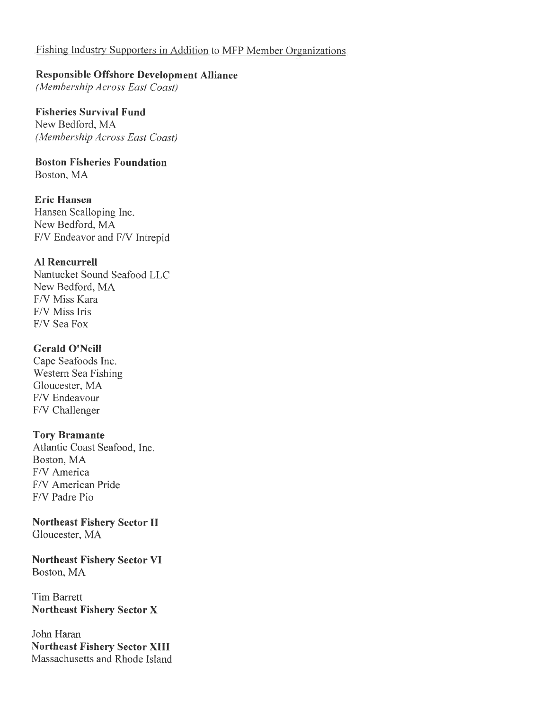# Fishing Industry Supporters in Addition to MFP Member Organizations

#### **Responsible Offshore Development Alliance**

(Membership Across East Coast)

#### **Fisheries Survival Fund** New Bedford, MA

(Membership Across East Coast)

#### **Boston Fisheries Foundation** Boston, MA

**Eric Hansen** Hansen Scalloping Inc. New Bedford, MA F/V Endeavor and F/V Intrepid

# **Al Rencurrell**

Nantucket Sound Seafood LLC New Bedford, MA F/V Miss Kara F/V Miss Iris F/V Sea Fox

# **Gerald O'Neill**

Cape Seafoods Inc. Western Sea Fishing Gloucester, MA F/V Endeavour F/V Challenger

# **Tory Bramante**

Atlantic Coast Seafood, Inc. Boston, MA F/V America F/V American Pride F/V Padre Pio

# **Northeast Fishery Sector II**

Gloucester, MA

**Northeast Fishery Sector VI** Boston, MA

# **Tim Barrett Northeast Fishery Sector X**

John Haran **Northeast Fishery Sector XIII** Massachusetts and Rhode Island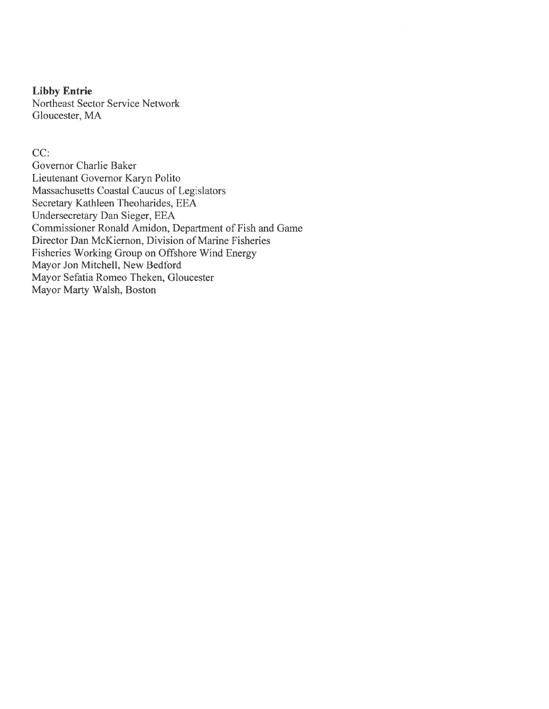#### **Libby Entrie**

Northeast Sector Service Network Gloucester, MA

CC:

Governor Charlie Baker Lieutenant Governor Karyn Polito Massachusetts Coastal Caucus of Legislators Secretary Kathleen Theoharides, EEA Undersecretary Dan Sieger, EEA Commissioner Ronald Amidon, Department of Fish and Game Director Dan McKiernon, Division of Marine Fisheries Fisheries Working Group on Offshore Wind Energy Mayor Jon Mitchell, New Bedford Mayor Sefatia Romeo Theken, Gloucester Mayor Marty Walsh, Boston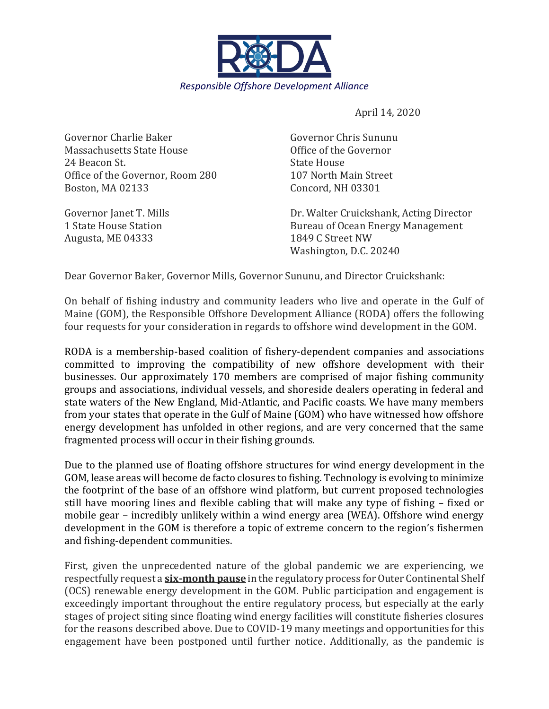

April 14, 2020

Governor Charlie Baker Governor Chris Sununu Massachusetts State House Office of the Governor 24 Beacon St. State House Office of the Governor, Room 280 107 North Main Street Boston, MA 02133 Concord, NH 03301

Augusta, ME 04333 1849 C Street NW

Governor Janet T. Mills **Example 2. Solution** Dr. Walter Cruickshank, Acting Director 1 State House Station **Bureau of Ocean Energy Management** Washington, D.C. 20240

Dear Governor Baker, Governor Mills, Governor Sununu, and Director Cruickshank:

On behalf of fishing industry and community leaders who live and operate in the Gulf of Maine (GOM), the Responsible Offshore Development Alliance (RODA) offers the following four requests for your consideration in regards to offshore wind development in the GOM.

RODA is a membership-based coalition of fishery-dependent companies and associations committed to improving the compatibility of new offshore development with their businesses. Our approximately 170 members are comprised of major fishing community groups and associations, individual vessels, and shoreside dealers operating in federal and state waters of the New England, Mid-Atlantic, and Pacific coasts. We have many members from your states that operate in the Gulf of Maine (GOM) who have witnessed how offshore energy development has unfolded in other regions, and are very concerned that the same fragmented process will occur in their fishing grounds.

Due to the planned use of floating offshore structures for wind energy development in the GOM, lease areas will become de facto closures to fishing. Technology is evolving to minimize the footprint of the base of an offshore wind platform, but current proposed technologies still have mooring lines and flexible cabling that will make any type of fishing – fixed or mobile gear – incredibly unlikely within a wind energy area (WEA). Offshore wind energy development in the GOM is therefore a topic of extreme concern to the region's fishermen and fishing-dependent communities.

First, given the unprecedented nature of the global pandemic we are experiencing, we respectfully request a **six-month pause** in the regulatory process for Outer Continental Shelf (OCS) renewable energy development in the GOM. Public participation and engagement is exceedingly important throughout the entire regulatory process, but especially at the early stages of project siting since floating wind energy facilities will constitute fisheries closures for the reasons described above. Due to COVID-19 many meetings and opportunities for this engagement have been postponed until further notice. Additionally, as the pandemic is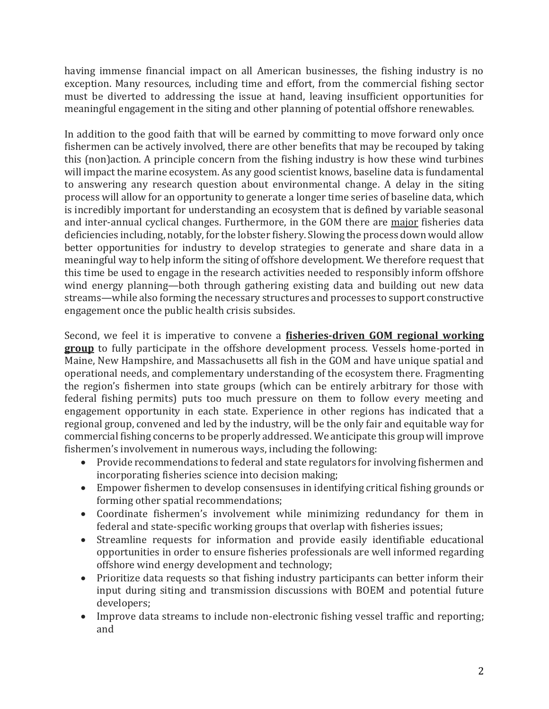having immense financial impact on all American businesses, the fishing industry is no exception. Many resources, including time and effort, from the commercial fishing sector must be diverted to addressing the issue at hand, leaving insufficient opportunities for meaningful engagement in the siting and other planning of potential offshore renewables.

In addition to the good faith that will be earned by committing to move forward only once fishermen can be actively involved, there are other benefits that may be recouped by taking this (non)action. A principle concern from the fishing industry is how these wind turbines will impact the marine ecosystem. As any good scientist knows, baseline data is fundamental to answering any research question about environmental change. A delay in the siting process will allow for an opportunity to generate a longer time series of baseline data, which is incredibly important for understanding an ecosystem that is defined by variable seasonal and inter-annual cyclical changes. Furthermore, in the GOM there are major fisheries data deficiencies including, notably, for the lobster fishery. Slowing the process down would allow better opportunities for industry to develop strategies to generate and share data in a meaningful way to help inform the siting of offshore development. We therefore request that this time be used to engage in the research activities needed to responsibly inform offshore wind energy planning—both through gathering existing data and building out new data streams—while also forming the necessary structures and processes to support constructive engagement once the public health crisis subsides.

Second, we feel it is imperative to convene a **fisheries-driven GOM regional working group** to fully participate in the offshore development process. Vessels home-ported in Maine, New Hampshire, and Massachusetts all fish in the GOM and have unique spatial and operational needs, and complementary understanding of the ecosystem there. Fragmenting the region's fishermen into state groups (which can be entirely arbitrary for those with federal fishing permits) puts too much pressure on them to follow every meeting and engagement opportunity in each state. Experience in other regions has indicated that a regional group, convened and led by the industry, will be the only fair and equitable way for commercial fishing concerns to be properly addressed. We anticipate this group will improve fishermen's involvement in numerous ways, including the following:

- Provide recommendations to federal and state regulators for involving fishermen and incorporating fisheries science into decision making;
- Empower fishermen to develop consensuses in identifying critical fishing grounds or forming other spatial recommendations;
- Coordinate fishermen's involvement while minimizing redundancy for them in federal and state-specific working groups that overlap with fisheries issues;
- Streamline requests for information and provide easily identifiable educational opportunities in order to ensure fisheries professionals are well informed regarding offshore wind energy development and technology;
- Prioritize data requests so that fishing industry participants can better inform their input during siting and transmission discussions with BOEM and potential future developers;
- Improve data streams to include non-electronic fishing vessel traffic and reporting; and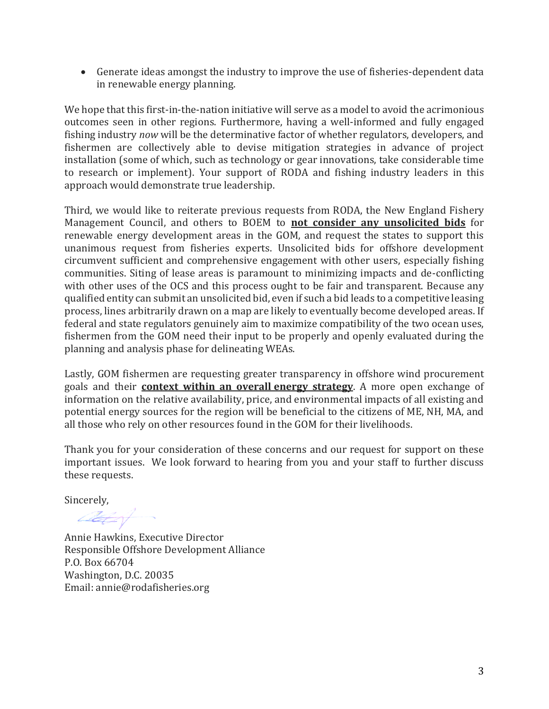• Generate ideas amongst the industry to improve the use of fisheries-dependent data in renewable energy planning.

We hope that this first-in-the-nation initiative will serve as a model to avoid the acrimonious outcomes seen in other regions. Furthermore, having a well-informed and fully engaged fishing industry *now* will be the determinative factor of whether regulators, developers, and fishermen are collectively able to devise mitigation strategies in advance of project installation (some of which, such as technology or gear innovations, take considerable time to research or implement). Your support of RODA and fishing industry leaders in this approach would demonstrate true leadership.

Third, we would like to reiterate previous requests from RODA, the New England Fishery Management Council, and others to BOEM to **not consider any unsolicited bids** for renewable energy development areas in the GOM, and request the states to support this unanimous request from fisheries experts. Unsolicited bids for offshore development circumvent sufficient and comprehensive engagement with other users, especially fishing communities. Siting of lease areas is paramount to minimizing impacts and de-conflicting with other uses of the OCS and this process ought to be fair and transparent. Because any qualified entity can submit an unsolicited bid, even if such a bid leads to a competitive leasing process, lines arbitrarily drawn on a map are likely to eventually become developed areas. If federal and state regulators genuinely aim to maximize compatibility of the two ocean uses, fishermen from the GOM need their input to be properly and openly evaluated during the planning and analysis phase for delineating WEAs.

Lastly, GOM fishermen are requesting greater transparency in offshore wind procurement goals and their **context within an overall energy strategy**. A more open exchange of information on the relative availability, price, and environmental impacts of all existing and potential energy sources for the region will be beneficial to the citizens of ME, NH, MA, and all those who rely on other resources found in the GOM for their livelihoods.

Thank you for your consideration of these concerns and our request for support on these important issues. We look forward to hearing from you and your staff to further discuss these requests.

Sincerely,

at of

Annie Hawkins, Executive Director Responsible Offshore Development Alliance P.O. Box 66704 Washington, D.C. 20035 Email: annie@rodafisheries.org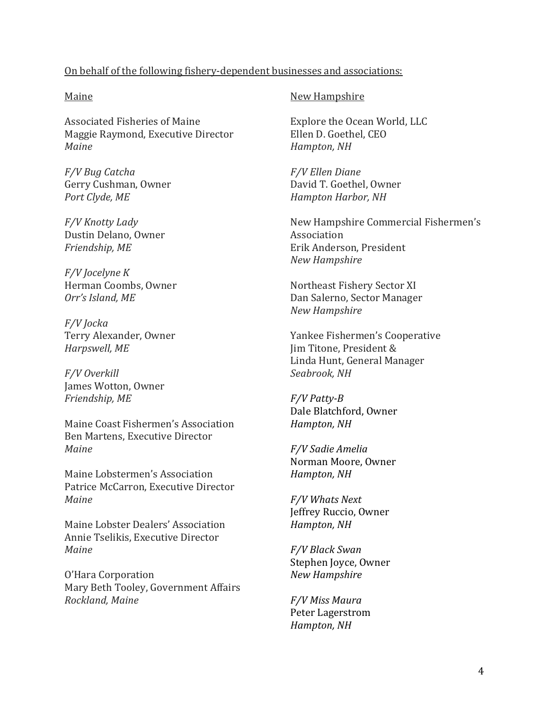# On behalf of the following fishery-dependent businesses and associations:

#### Maine

Associated Fisheries of Maine Maggie Raymond, Executive Director *Maine*

*F/V Bug Catcha* Gerry Cushman, Owner *Port Clyde, ME*

*F/V Knotty Lady* Dustin Delano, Owner *Friendship, ME*

*F/V Jocelyne K* Herman Coombs, Owner *Orr's Island, ME*

*F/V Jocka* Terry Alexander, Owner *Harpswell, ME* 

*F/V Overkill* James Wotton, Owner *Friendship, ME*

Maine Coast Fishermen's Association Ben Martens, Executive Director *Maine*

Maine Lobstermen's Association Patrice McCarron, Executive Director *Maine*

Maine Lobster Dealers' Association Annie Tselikis, Executive Director *Maine*

O'Hara Corporation Mary Beth Tooley, Government Affairs *Rockland, Maine*

# New Hampshire

Explore the Ocean World, LLC Ellen D. Goethel, CEO *Hampton, NH*

*F/V Ellen Diane* David T. Goethel, Owner *Hampton Harbor, NH*

New Hampshire Commercial Fishermen's Association Erik Anderson, President *New Hampshire*

Northeast Fishery Sector XI Dan Salerno, Sector Manager *New Hampshire*

Yankee Fishermen's Cooperative Jim Titone, President & Linda Hunt, General Manager *Seabrook, NH*

*F/V Patty-B* Dale Blatchford, Owner *Hampton, NH*

*F/V Sadie Amelia* Norman Moore, Owner *Hampton, NH*

*F/V Whats Next* Jeffrey Ruccio, Owner *Hampton, NH*

*F/V Black Swan* Stephen Joyce, Owner *New Hampshire*

*F/V Miss Maura* Peter Lagerstrom *Hampton, NH*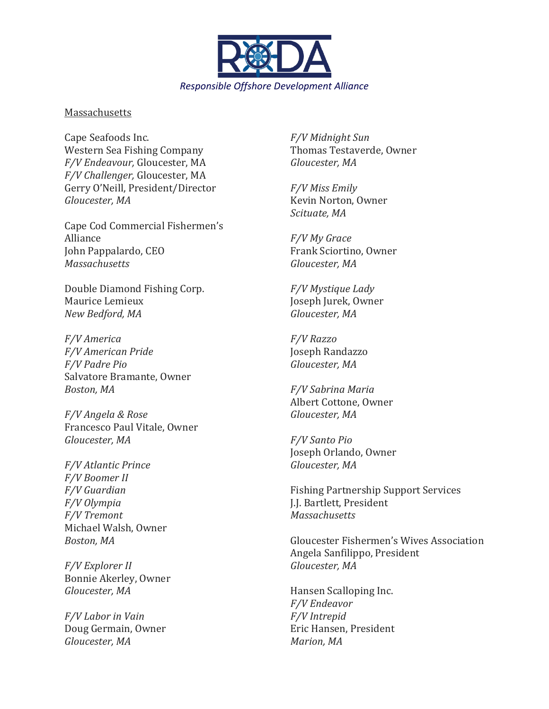

#### **Massachusetts**

Cape Seafoods Inc. Western Sea Fishing Company *F/V Endeavour,* Gloucester, MA *F/V Challenger,* Gloucester, MA Gerry O'Neill, President/Director *Gloucester, MA*

Cape Cod Commercial Fishermen's Alliance John Pappalardo, CEO *Massachusetts*

Double Diamond Fishing Corp. Maurice Lemieux *New Bedford, MA*

*F/V America F/V American Pride F/V Padre Pio* Salvatore Bramante, Owner *Boston, MA*

*F/V Angela & Rose* Francesco Paul Vitale, Owner *Gloucester, MA*

*F/V Atlantic Prince F/V Boomer II F/V Guardian F/V Olympia F/V Tremont* Michael Walsh, Owner *Boston, MA*

*F/V Explorer II* Bonnie Akerley, Owner *Gloucester, MA*

*F/V Labor in Vain* Doug Germain, Owner *Gloucester, MA*

*F/V Midnight Sun* Thomas Testaverde, Owner *Gloucester, MA*

*F/V Miss Emily* Kevin Norton, Owner *Scituate, MA*

*F/V My Grace* Frank Sciortino, Owner *Gloucester, MA*

*F/V Mystique Lady* Joseph Jurek, Owner *Gloucester, MA*

*F/V Razzo* Joseph Randazzo *Gloucester, MA*

*F/V Sabrina Maria* Albert Cottone, Owner *Gloucester, MA*

*F/V Santo Pio* Joseph Orlando, Owner *Gloucester, MA*

Fishing Partnership Support Services J.J. Bartlett, President *Massachusetts* 

Gloucester Fishermen's Wives Association Angela Sanfilippo, President *Gloucester, MA*

Hansen Scalloping Inc. *F/V Endeavor F/V Intrepid* Eric Hansen, President *Marion, MA*